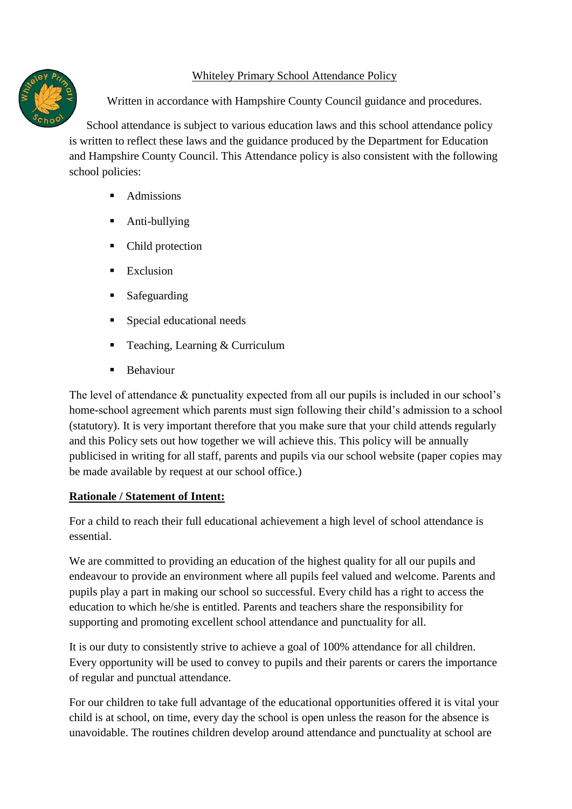## Whiteley Primary School Attendance Policy



Written in accordance with Hampshire County Council guidance and procedures.

School attendance is subject to various education laws and this school attendance policy is written to reflect these laws and the guidance produced by the Department for Education and Hampshire County Council. This Attendance policy is also consistent with the following school policies:

- Admissions
- Anti-bullying
- Child protection
- $\blacksquare$  Exclusion
- Safeguarding
- Special educational needs
- Teaching, Learning  $&$  Curriculum
- Behaviour

The level of attendance & punctuality expected from all our pupils is included in our school's home-school agreement which parents must sign following their child's admission to a school (statutory). It is very important therefore that you make sure that your child attends regularly and this Policy sets out how together we will achieve this. This policy will be annually publicised in writing for all staff, parents and pupils via our school website (paper copies may be made available by request at our school office.)

## **Rationale / Statement of Intent:**

For a child to reach their full educational achievement a high level of school attendance is essential.

We are committed to providing an education of the highest quality for all our pupils and endeavour to provide an environment where all pupils feel valued and welcome. Parents and pupils play a part in making our school so successful. Every child has a right to access the education to which he/she is entitled. Parents and teachers share the responsibility for supporting and promoting excellent school attendance and punctuality for all.

It is our duty to consistently strive to achieve a goal of 100% attendance for all children. Every opportunity will be used to convey to pupils and their parents or carers the importance of regular and punctual attendance.

For our children to take full advantage of the educational opportunities offered it is vital your child is at school, on time, every day the school is open unless the reason for the absence is unavoidable. The routines children develop around attendance and punctuality at school are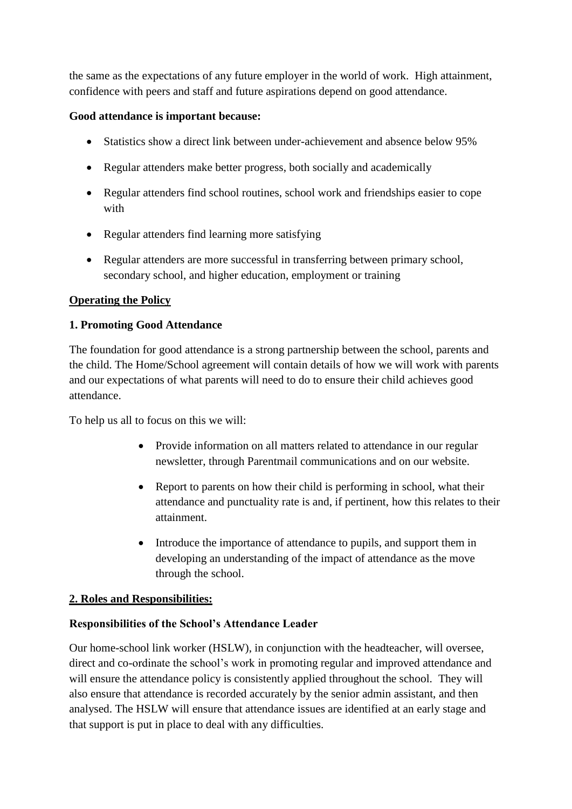the same as the expectations of any future employer in the world of work. High attainment, confidence with peers and staff and future aspirations depend on good attendance.

### **Good attendance is important because:**

- Statistics show a direct link between under-achievement and absence below 95%
- Regular attenders make better progress, both socially and academically
- Regular attenders find school routines, school work and friendships easier to cope with
- Regular attenders find learning more satisfying
- Regular attenders are more successful in transferring between primary school, secondary school, and higher education, employment or training

## **Operating the Policy**

### **1. Promoting Good Attendance**

The foundation for good attendance is a strong partnership between the school, parents and the child. The Home/School agreement will contain details of how we will work with parents and our expectations of what parents will need to do to ensure their child achieves good attendance.

To help us all to focus on this we will:

- Provide information on all matters related to attendance in our regular newsletter, through Parentmail communications and on our website.
- Report to parents on how their child is performing in school, what their attendance and punctuality rate is and, if pertinent, how this relates to their attainment.
- Introduce the importance of attendance to pupils, and support them in developing an understanding of the impact of attendance as the move through the school.

## **2. Roles and Responsibilities:**

#### **Responsibilities of the School's Attendance Leader**

Our home-school link worker (HSLW), in conjunction with the headteacher, will oversee, direct and co-ordinate the school's work in promoting regular and improved attendance and will ensure the attendance policy is consistently applied throughout the school. They will also ensure that attendance is recorded accurately by the senior admin assistant, and then analysed. The HSLW will ensure that attendance issues are identified at an early stage and that support is put in place to deal with any difficulties.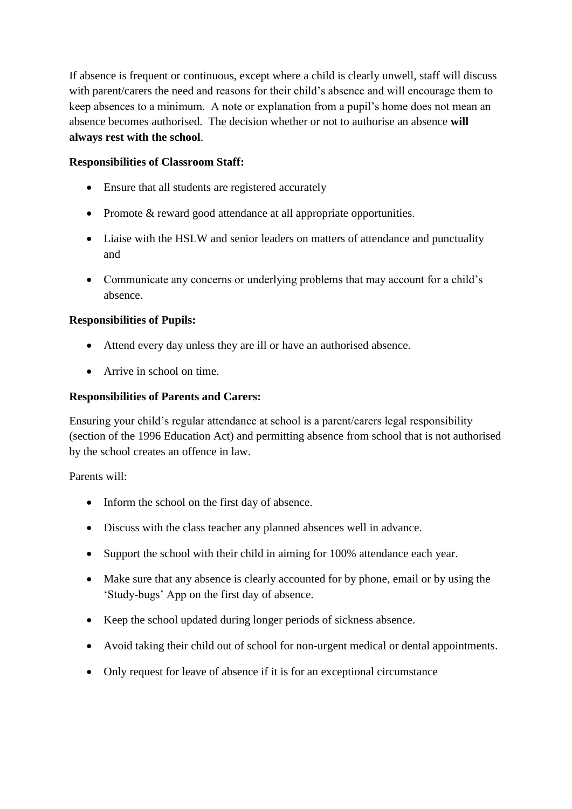If absence is frequent or continuous, except where a child is clearly unwell, staff will discuss with parent/carers the need and reasons for their child's absence and will encourage them to keep absences to a minimum. A note or explanation from a pupil's home does not mean an absence becomes authorised. The decision whether or not to authorise an absence **will always rest with the school**.

### **Responsibilities of Classroom Staff:**

- Ensure that all students are registered accurately
- Promote & reward good attendance at all appropriate opportunities.
- Liaise with the HSLW and senior leaders on matters of attendance and punctuality and
- Communicate any concerns or underlying problems that may account for a child's absence.

### **Responsibilities of Pupils:**

- Attend every day unless they are ill or have an authorised absence.
- Arrive in school on time.

#### **Responsibilities of Parents and Carers:**

Ensuring your child's regular attendance at school is a parent/carers legal responsibility (section of the 1996 Education Act) and permitting absence from school that is not authorised by the school creates an offence in law.

Parents will:

- Inform the school on the first day of absence.
- Discuss with the class teacher any planned absences well in advance.
- Support the school with their child in aiming for 100% attendance each year.
- Make sure that any absence is clearly accounted for by phone, email or by using the 'Study-bugs' App on the first day of absence.
- Keep the school updated during longer periods of sickness absence.
- Avoid taking their child out of school for non-urgent medical or dental appointments.
- Only request for leave of absence if it is for an exceptional circumstance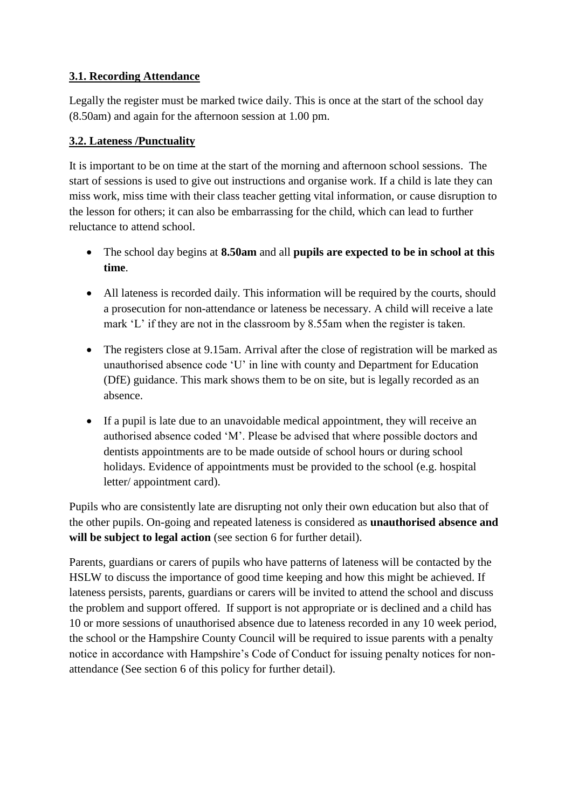## **3.1. Recording Attendance**

Legally the register must be marked twice daily. This is once at the start of the school day (8.50am) and again for the afternoon session at 1.00 pm.

## **3.2. Lateness /Punctuality**

It is important to be on time at the start of the morning and afternoon school sessions. The start of sessions is used to give out instructions and organise work. If a child is late they can miss work, miss time with their class teacher getting vital information, or cause disruption to the lesson for others; it can also be embarrassing for the child, which can lead to further reluctance to attend school.

- The school day begins at **8.50am** and all **pupils are expected to be in school at this time**.
- All lateness is recorded daily. This information will be required by the courts, should a prosecution for non-attendance or lateness be necessary. A child will receive a late mark 'L' if they are not in the classroom by 8.55am when the register is taken.
- The registers close at 9.15am. Arrival after the close of registration will be marked as unauthorised absence code 'U' in line with county and Department for Education (DfE) guidance. This mark shows them to be on site, but is legally recorded as an absence.
- If a pupil is late due to an unavoidable medical appointment, they will receive an authorised absence coded 'M'. Please be advised that where possible doctors and dentists appointments are to be made outside of school hours or during school holidays. Evidence of appointments must be provided to the school (e.g. hospital letter/ appointment card).

Pupils who are consistently late are disrupting not only their own education but also that of the other pupils. On-going and repeated lateness is considered as **unauthorised absence and will be subject to legal action** (see section 6 for further detail).

Parents, guardians or carers of pupils who have patterns of lateness will be contacted by the HSLW to discuss the importance of good time keeping and how this might be achieved. If lateness persists, parents, guardians or carers will be invited to attend the school and discuss the problem and support offered. If support is not appropriate or is declined and a child has 10 or more sessions of unauthorised absence due to lateness recorded in any 10 week period, the school or the Hampshire County Council will be required to issue parents with a penalty notice in accordance with Hampshire's Code of Conduct for issuing penalty notices for nonattendance (See section 6 of this policy for further detail).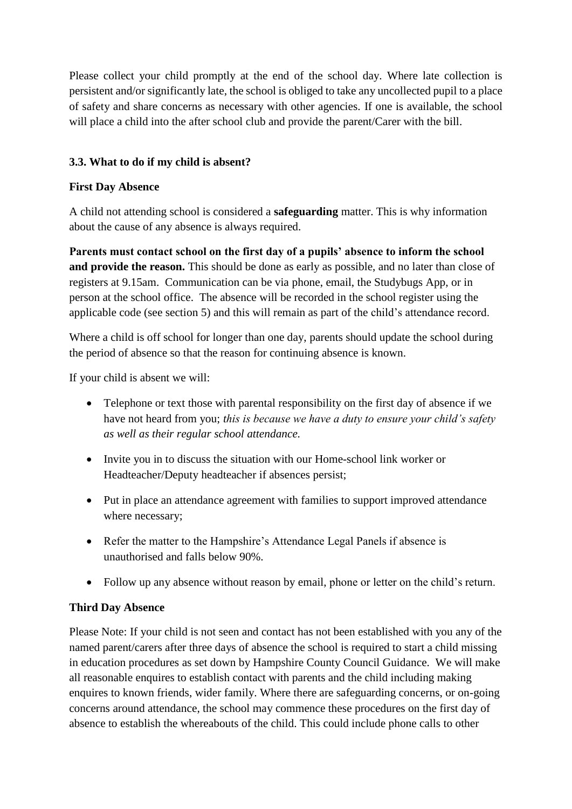Please collect your child promptly at the end of the school day. Where late collection is persistent and/or significantly late, the school is obliged to take any uncollected pupil to a place of safety and share concerns as necessary with other agencies. If one is available, the school will place a child into the after school club and provide the parent/Carer with the bill.

## **3.3. What to do if my child is absent?**

#### **First Day Absence**

A child not attending school is considered a **safeguarding** matter. This is why information about the cause of any absence is always required.

**Parents must contact school on the first day of a pupils' absence to inform the school and provide the reason.** This should be done as early as possible, and no later than close of registers at 9.15am. Communication can be via phone, email, the Studybugs App, or in person at the school office. The absence will be recorded in the school register using the applicable code (see section 5) and this will remain as part of the child's attendance record.

Where a child is off school for longer than one day, parents should update the school during the period of absence so that the reason for continuing absence is known.

If your child is absent we will:

- Telephone or text those with parental responsibility on the first day of absence if we have not heard from you; *this is because we have a duty to ensure your child's safety as well as their regular school attendance.*
- Invite you in to discuss the situation with our Home-school link worker or Headteacher/Deputy headteacher if absences persist;
- Put in place an attendance agreement with families to support improved attendance where necessary;
- Refer the matter to the Hampshire's Attendance Legal Panels if absence is unauthorised and falls below 90%.
- Follow up any absence without reason by email, phone or letter on the child's return.

## **Third Day Absence**

Please Note: If your child is not seen and contact has not been established with you any of the named parent/carers after three days of absence the school is required to start a child missing in education procedures as set down by Hampshire County Council Guidance. We will make all reasonable enquires to establish contact with parents and the child including making enquires to known friends, wider family. Where there are safeguarding concerns, or on-going concerns around attendance, the school may commence these procedures on the first day of absence to establish the whereabouts of the child. This could include phone calls to other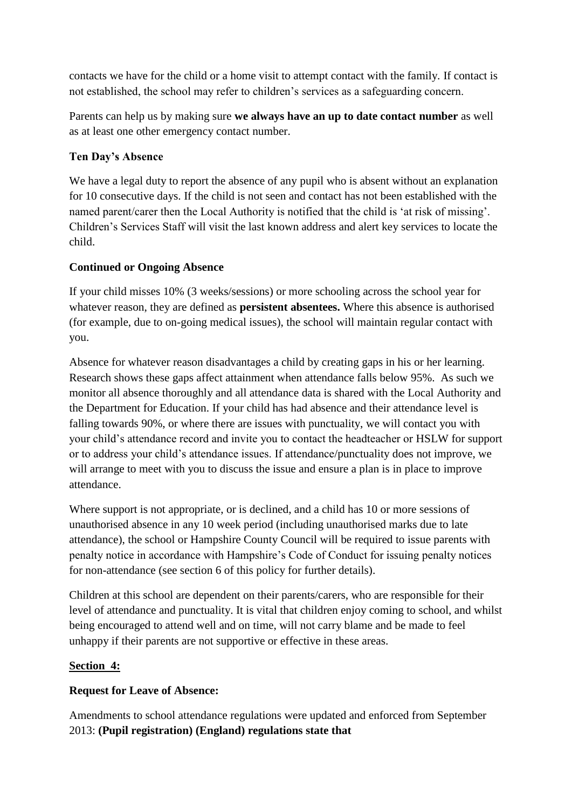contacts we have for the child or a home visit to attempt contact with the family. If contact is not established, the school may refer to children's services as a safeguarding concern.

Parents can help us by making sure **we always have an up to date contact number** as well as at least one other emergency contact number.

## **Ten Day's Absence**

We have a legal duty to report the absence of any pupil who is absent without an explanation for 10 consecutive days. If the child is not seen and contact has not been established with the named parent/carer then the Local Authority is notified that the child is 'at risk of missing'. Children's Services Staff will visit the last known address and alert key services to locate the child.

### **Continued or Ongoing Absence**

If your child misses 10% (3 weeks/sessions) or more schooling across the school year for whatever reason, they are defined as **persistent absentees.** Where this absence is authorised (for example, due to on-going medical issues), the school will maintain regular contact with you.

Absence for whatever reason disadvantages a child by creating gaps in his or her learning. Research shows these gaps affect attainment when attendance falls below 95%. As such we monitor all absence thoroughly and all attendance data is shared with the Local Authority and the Department for Education. If your child has had absence and their attendance level is falling towards 90%, or where there are issues with punctuality, we will contact you with your child's attendance record and invite you to contact the headteacher or HSLW for support or to address your child's attendance issues. If attendance/punctuality does not improve, we will arrange to meet with you to discuss the issue and ensure a plan is in place to improve attendance.

Where support is not appropriate, or is declined, and a child has 10 or more sessions of unauthorised absence in any 10 week period (including unauthorised marks due to late attendance), the school or Hampshire County Council will be required to issue parents with penalty notice in accordance with Hampshire's Code of Conduct for issuing penalty notices for non-attendance (see section 6 of this policy for further details).

Children at this school are dependent on their parents/carers, who are responsible for their level of attendance and punctuality. It is vital that children enjoy coming to school, and whilst being encouraged to attend well and on time, will not carry blame and be made to feel unhappy if their parents are not supportive or effective in these areas.

## **Section 4:**

#### **Request for Leave of Absence:**

Amendments to school attendance regulations were updated and enforced from September 2013: **(Pupil registration) (England) regulations state that**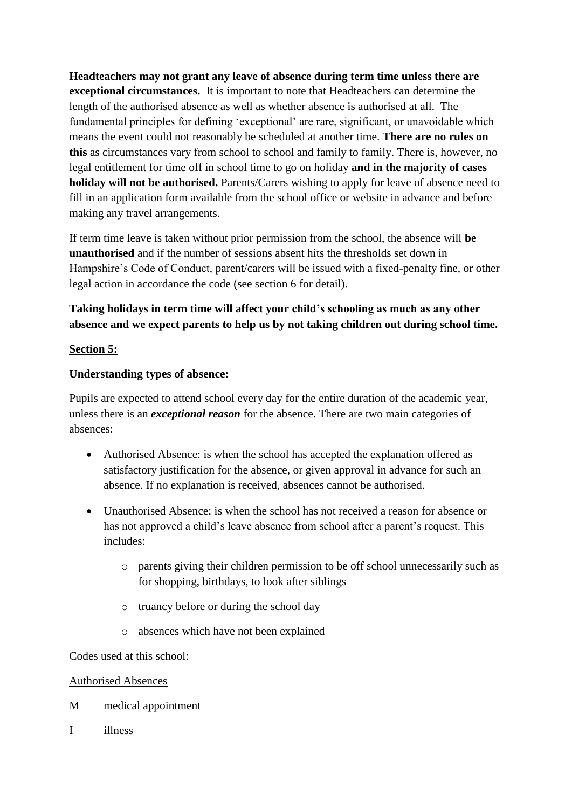**Headteachers may not grant any leave of absence during term time unless there are exceptional circumstances.** It is important to note that Headteachers can determine the length of the authorised absence as well as whether absence is authorised at all. The fundamental principles for defining 'exceptional' are rare, significant, or unavoidable which means the event could not reasonably be scheduled at another time. **There are no rules on this** as circumstances vary from school to school and family to family. There is, however, no legal entitlement for time off in school time to go on holiday **and in the majority of cases holiday will not be authorised.** Parents/Carers wishing to apply for leave of absence need to fill in an application form available from the school office or website in advance and before making any travel arrangements.

If term time leave is taken without prior permission from the school, the absence will **be unauthorised** and if the number of sessions absent hits the thresholds set down in Hampshire's Code of Conduct, parent/carers will be issued with a fixed-penalty fine, or other legal action in accordance the code (see section 6 for detail).

# **Taking holidays in term time will affect your child's schooling as much as any other absence and we expect parents to help us by not taking children out during school time.**

#### **Section 5:**

#### **Understanding types of absence:**

Pupils are expected to attend school every day for the entire duration of the academic year, unless there is an *exceptional reason* for the absence. There are two main categories of absences:

- Authorised Absence: is when the school has accepted the explanation offered as satisfactory justification for the absence, or given approval in advance for such an absence. If no explanation is received, absences cannot be authorised.
- Unauthorised Absence: is when the school has not received a reason for absence or has not approved a child's leave absence from school after a parent's request. This includes:
	- o parents giving their children permission to be off school unnecessarily such as for shopping, birthdays, to look after siblings
	- o truancy before or during the school day
	- o absences which have not been explained

Codes used at this school:

#### Authorised Absences

- M medical appointment
- I illness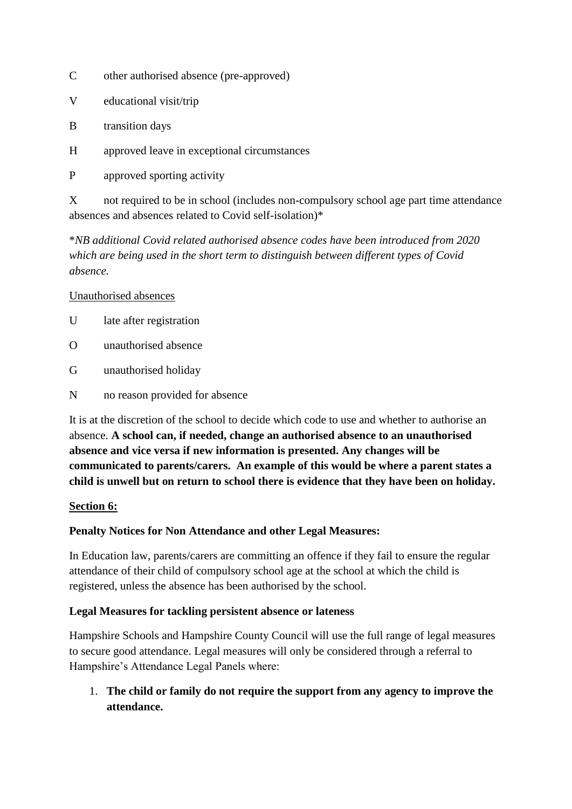- C other authorised absence (pre-approved)
- V educational visit/trip
- B transition days
- H approved leave in exceptional circumstances
- P approved sporting activity

X not required to be in school (includes non-compulsory school age part time attendance absences and absences related to Covid self-isolation)\*

\**NB additional Covid related authorised absence codes have been introduced from 2020 which are being used in the short term to distinguish between different types of Covid absence.*

#### Unauthorised absences

- U late after registration
- O unauthorised absence
- G unauthorised holiday
- N no reason provided for absence

It is at the discretion of the school to decide which code to use and whether to authorise an absence. **A school can, if needed, change an authorised absence to an unauthorised absence and vice versa if new information is presented. Any changes will be communicated to parents/carers. An example of this would be where a parent states a child is unwell but on return to school there is evidence that they have been on holiday.** 

#### **Section 6:**

#### **Penalty Notices for Non Attendance and other Legal Measures:**

In Education law, parents/carers are committing an offence if they fail to ensure the regular attendance of their child of compulsory school age at the school at which the child is registered, unless the absence has been authorised by the school.

#### **Legal Measures for tackling persistent absence or lateness**

Hampshire Schools and Hampshire County Council will use the full range of legal measures to secure good attendance. Legal measures will only be considered through a referral to Hampshire's Attendance Legal Panels where:

1. **The child or family do not require the support from any agency to improve the attendance.**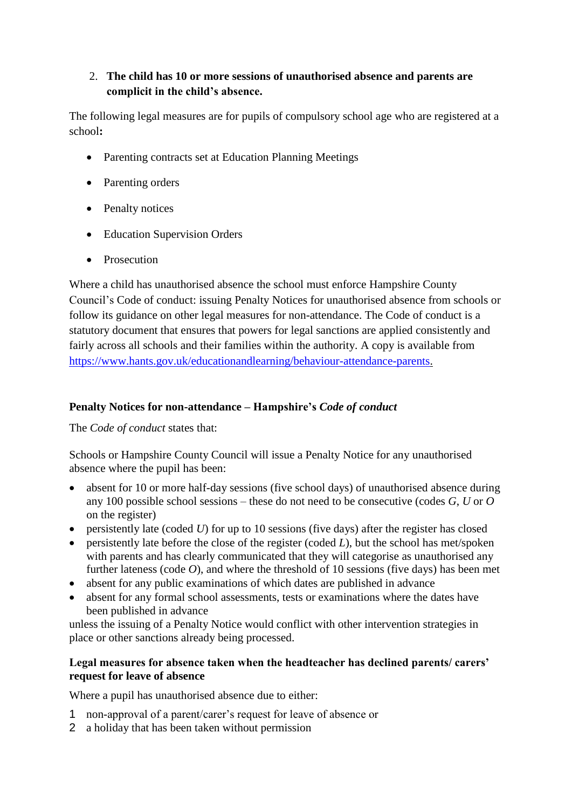## 2. **The child has 10 or more sessions of unauthorised absence and parents are complicit in the child's absence.**

The following legal measures are for pupils of compulsory school age who are registered at a school**:**

- Parenting contracts set at Education Planning Meetings
- Parenting orders
- Penalty notices
- Education Supervision Orders
- Prosecution

Where a child has unauthorised absence the school must enforce Hampshire County Council's Code of conduct: issuing Penalty Notices for unauthorised absence from schools or follow its guidance on other legal measures for non-attendance. The Code of conduct is a statutory document that ensures that powers for legal sanctions are applied consistently and fairly across all schools and their families within the authority. A copy is available from [https://www.hants.gov.uk/educationandlearning/behaviour-attendance-parents.](https://www.hants.gov.uk/educationandlearning/behaviour-attendance-parents)

# **Penalty Notices for non-attendance – Hampshire's** *Code of conduct*

The *Code of conduct* states that:

Schools or Hampshire County Council will issue a Penalty Notice for any unauthorised absence where the pupil has been:

- absent for 10 or more half-day sessions (five school days) of unauthorised absence during any 100 possible school sessions – these do not need to be consecutive (codes *G*, *U* or *O* on the register)
- persistently late (coded *U*) for up to 10 sessions (five days) after the register has closed
- persistently late before the close of the register (coded *L*), but the school has met/spoken with parents and has clearly communicated that they will categorise as unauthorised any further lateness (code *O*), and where the threshold of 10 sessions (five days) has been met
- absent for any public examinations of which dates are published in advance
- absent for any formal school assessments, tests or examinations where the dates have been published in advance

unless the issuing of a Penalty Notice would conflict with other intervention strategies in place or other sanctions already being processed.

### **Legal measures for absence taken when the headteacher has declined parents/ carers' request for leave of absence**

Where a pupil has unauthorised absence due to either:

- 1 non-approval of a parent/carer's request for leave of absence or
- 2 a holiday that has been taken without permission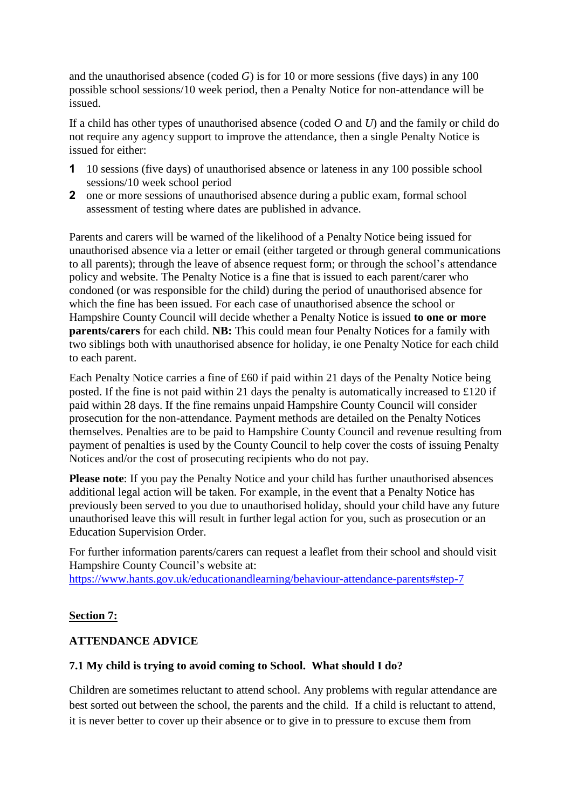and the unauthorised absence (coded *G*) is for 10 or more sessions (five days) in any 100 possible school sessions/10 week period, then a Penalty Notice for non-attendance will be issued.

If a child has other types of unauthorised absence (coded *O* and *U*) and the family or child do not require any agency support to improve the attendance, then a single Penalty Notice is issued for either:

- **1** 10 sessions (five days) of unauthorised absence or lateness in any 100 possible school sessions/10 week school period
- **2** one or more sessions of unauthorised absence during a public exam, formal school assessment of testing where dates are published in advance.

Parents and carers will be warned of the likelihood of a Penalty Notice being issued for unauthorised absence via a letter or email (either targeted or through general communications to all parents); through the leave of absence request form; or through the school's attendance policy and website. The Penalty Notice is a fine that is issued to each parent/carer who condoned (or was responsible for the child) during the period of unauthorised absence for which the fine has been issued. For each case of unauthorised absence the school or Hampshire County Council will decide whether a Penalty Notice is issued **to one or more parents/carers** for each child. **NB:** This could mean four Penalty Notices for a family with two siblings both with unauthorised absence for holiday, ie one Penalty Notice for each child to each parent.

Each Penalty Notice carries a fine of £60 if paid within 21 days of the Penalty Notice being posted. If the fine is not paid within 21 days the penalty is automatically increased to £120 if paid within 28 days. If the fine remains unpaid Hampshire County Council will consider prosecution for the non-attendance. Payment methods are detailed on the Penalty Notices themselves. Penalties are to be paid to Hampshire County Council and revenue resulting from payment of penalties is used by the County Council to help cover the costs of issuing Penalty Notices and/or the cost of prosecuting recipients who do not pay.

**Please note**: If you pay the Penalty Notice and your child has further unauthorised absences additional legal action will be taken. For example, in the event that a Penalty Notice has previously been served to you due to unauthorised holiday, should your child have any future unauthorised leave this will result in further legal action for you, such as prosecution or an Education Supervision Order.

For further information parents/carers can request a leaflet from their school and should visit Hampshire County Council's website at: <https://www.hants.gov.uk/educationandlearning/behaviour-attendance-parents#step-7>

#### **Section 7:**

#### **ATTENDANCE ADVICE**

#### **7.1 My child is trying to avoid coming to School. What should I do?**

Children are sometimes reluctant to attend school. Any problems with regular attendance are best sorted out between the school, the parents and the child. If a child is reluctant to attend, it is never better to cover up their absence or to give in to pressure to excuse them from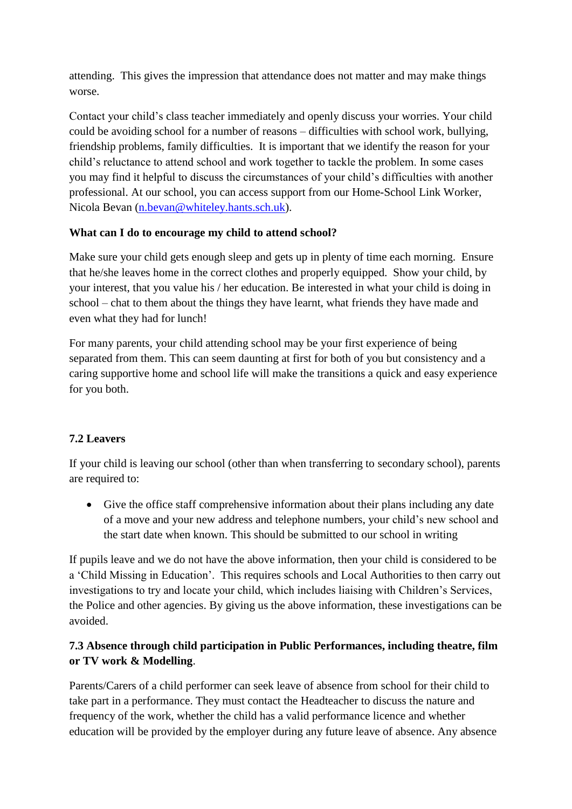attending. This gives the impression that attendance does not matter and may make things worse.

Contact your child's class teacher immediately and openly discuss your worries. Your child could be avoiding school for a number of reasons – difficulties with school work, bullying, friendship problems, family difficulties. It is important that we identify the reason for your child's reluctance to attend school and work together to tackle the problem. In some cases you may find it helpful to discuss the circumstances of your child's difficulties with another professional. At our school, you can access support from our Home-School Link Worker, Nicola Bevan [\(n.bevan@whiteley.hants.sch.uk\)](mailto:n.bevan@whiteley.hants.sch.uk).

## **What can I do to encourage my child to attend school?**

Make sure your child gets enough sleep and gets up in plenty of time each morning. Ensure that he/she leaves home in the correct clothes and properly equipped. Show your child, by your interest, that you value his / her education. Be interested in what your child is doing in school – chat to them about the things they have learnt, what friends they have made and even what they had for lunch!

For many parents, your child attending school may be your first experience of being separated from them. This can seem daunting at first for both of you but consistency and a caring supportive home and school life will make the transitions a quick and easy experience for you both.

# **7.2 Leavers**

If your child is leaving our school (other than when transferring to secondary school), parents are required to:

 Give the office staff comprehensive information about their plans including any date of a move and your new address and telephone numbers, your child's new school and the start date when known. This should be submitted to our school in writing

If pupils leave and we do not have the above information, then your child is considered to be a 'Child Missing in Education'. This requires schools and Local Authorities to then carry out investigations to try and locate your child, which includes liaising with Children's Services, the Police and other agencies. By giving us the above information, these investigations can be avoided.

# **7.3 Absence through child participation in Public Performances, including theatre, film or TV work & Modelling**.

Parents/Carers of a child performer can seek leave of absence from school for their child to take part in a performance. They must contact the Headteacher to discuss the nature and frequency of the work, whether the child has a valid performance licence and whether education will be provided by the employer during any future leave of absence. Any absence